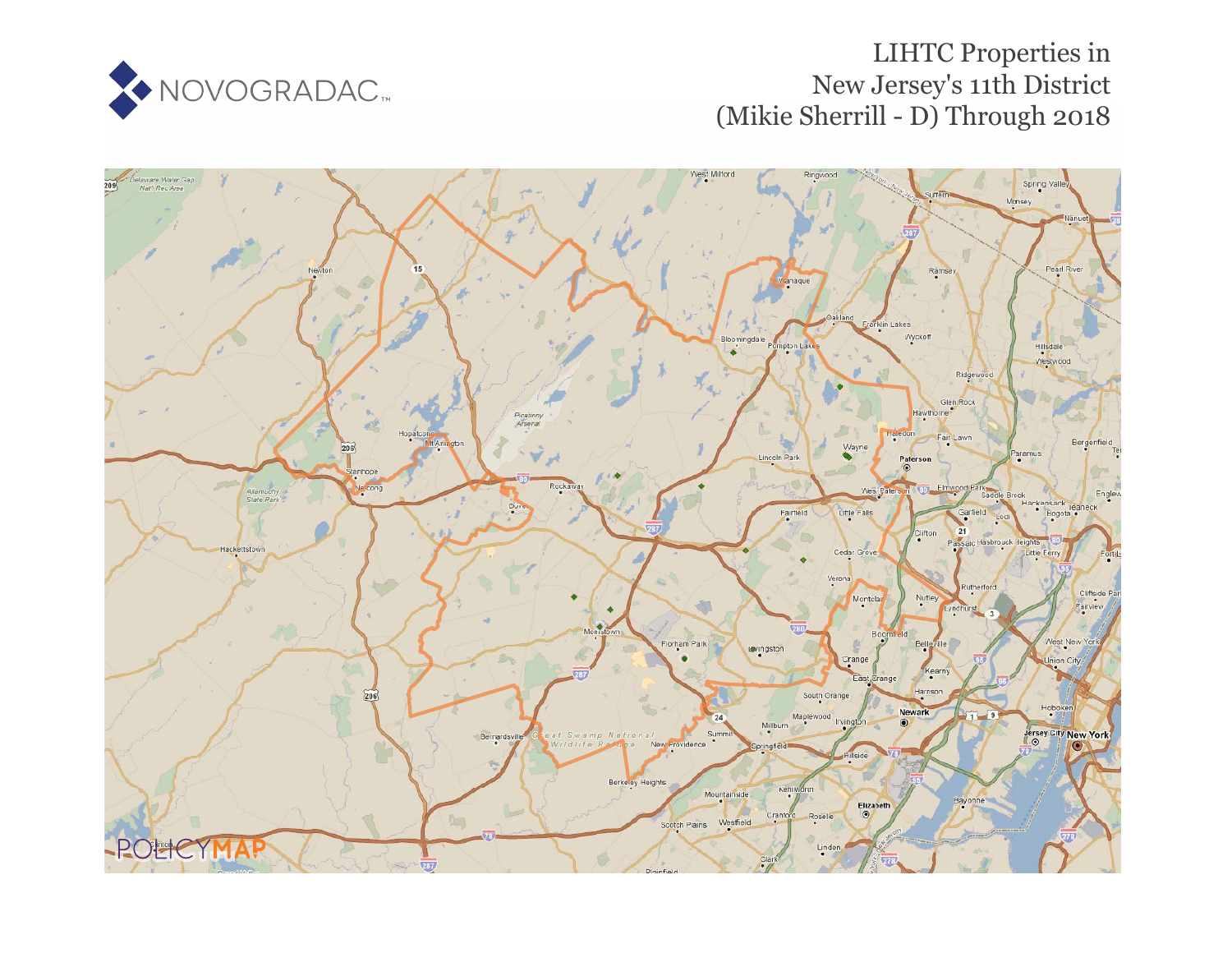

## LIHTC Properties in New Jersey's 11th District (Mikie Sherrill - D) Through 2018

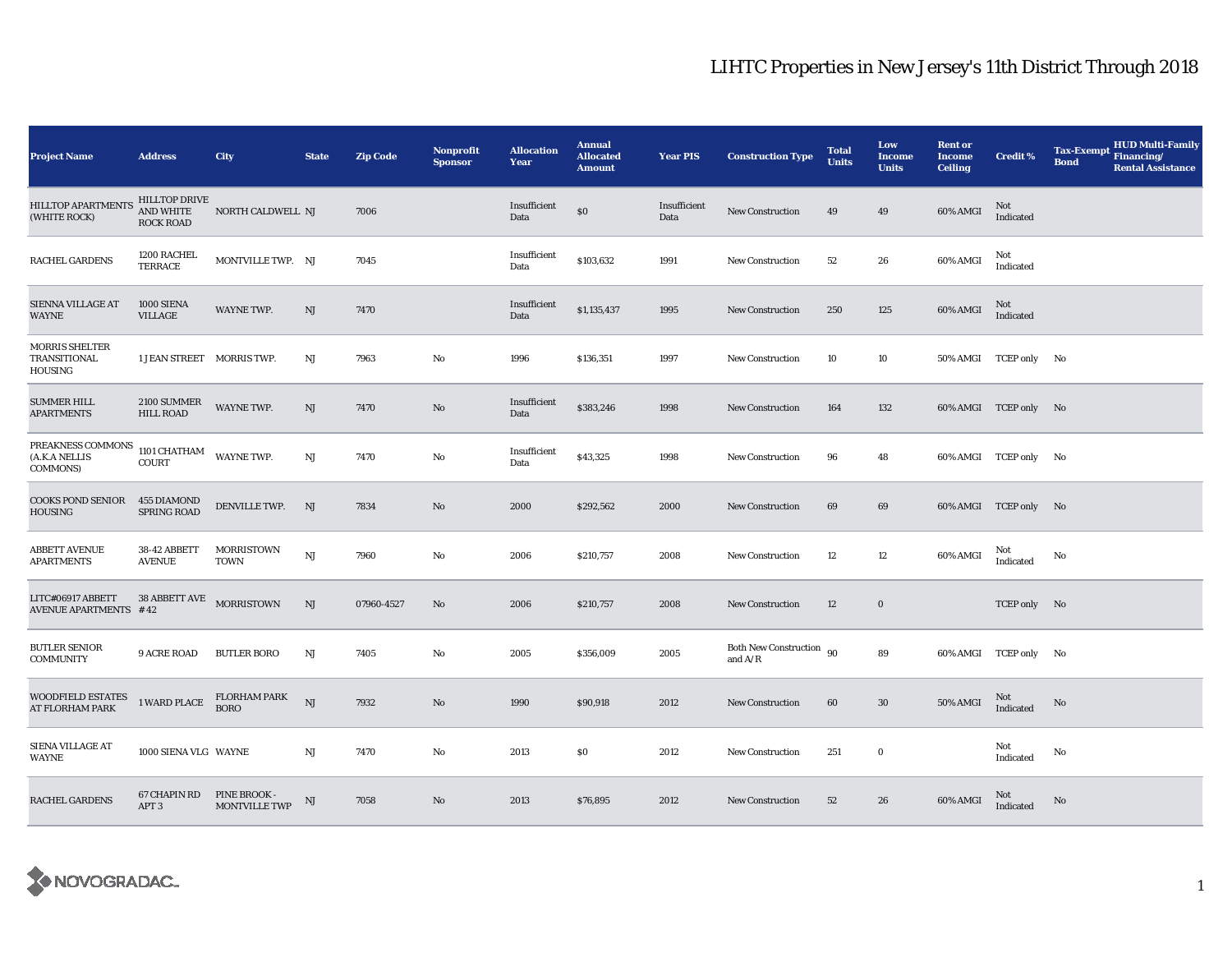## LIHTC Properties in New Jersey's 11th District Through 2018

| <b>Project Name</b>                              | <b>Address</b>                                 | <b>City</b>                                 | <b>State</b> | <b>Zip Code</b> | <b>Nonprofit</b><br><b>Sponsor</b> | <b>Allocation</b><br>Year | <b>Annual</b><br><b>Allocated</b><br><b>Amount</b> | <b>Year PIS</b>      | <b>Construction Type</b>              | <b>Total</b><br><b>Units</b> | Low<br><b>Income</b><br><b>Units</b> | <b>Rent or</b><br><b>Income</b><br><b>Ceiling</b> | <b>Credit %</b>       | <b>HUD Multi-Family</b><br><b>Tax-Exempt</b><br>Financing/<br><b>Bond</b><br><b>Rental Assistance</b> |
|--------------------------------------------------|------------------------------------------------|---------------------------------------------|--------------|-----------------|------------------------------------|---------------------------|----------------------------------------------------|----------------------|---------------------------------------|------------------------------|--------------------------------------|---------------------------------------------------|-----------------------|-------------------------------------------------------------------------------------------------------|
| <b>HILLTOP APARTMENTS</b><br>(WHITE ROCK)        | HILLTOP DRIVE<br>AND WHITE<br><b>ROCK ROAD</b> | NORTH CALDWELL NJ                           |              | 7006            |                                    | Insufficient<br>Data      | $\$0$                                              | Insufficient<br>Data | <b>New Construction</b>               | 49                           | 49                                   | 60% AMGI                                          | Not<br>Indicated      |                                                                                                       |
| RACHEL GARDENS                                   | 1200 RACHEL<br>TERRACE                         | MONTVILLE TWP. NJ                           |              | 7045            |                                    | Insufficient<br>Data      | \$103,632                                          | 1991                 | <b>New Construction</b>               | 52                           | 26                                   | 60% AMGI                                          | Not<br>Indicated      |                                                                                                       |
| SIENNA VILLAGE AT<br>WAYNE                       | 1000 SIENA<br><b>VILLAGE</b>                   | WAYNE TWP.                                  | NJ           | 7470            |                                    | Insufficient<br>Data      | \$1,135,437                                        | 1995                 | <b>New Construction</b>               | 250                          | 125                                  | 60% AMGI                                          | Not<br>Indicated      |                                                                                                       |
| <b>MORRIS SHELTER</b><br>TRANSITIONAL<br>HOUSING | 1 JEAN STREET MORRIS TWP.                      |                                             | NJ           | 7963            | No                                 | 1996                      | \$136,351                                          | 1997                 | <b>New Construction</b>               | 10                           | 10                                   |                                                   | 50% AMGI TCEP only No |                                                                                                       |
| <b>SUMMER HILL</b><br><b>APARTMENTS</b>          | 2100 SUMMER<br><b>HILL ROAD</b>                | WAYNE TWP.                                  | NJ           | 7470            | No                                 | Insufficient<br>Data      | \$383,246                                          | 1998                 | <b>New Construction</b>               | 164                          | 132                                  |                                                   | 60% AMGI TCEP only No |                                                                                                       |
| PREAKNESS COMMONS<br>(A.K.A NELLIS<br>COMMONS)   | 1101 CHATHAM<br><b>COURT</b>                   | <b>WAYNE TWP.</b>                           | NJ           | 7470            | No                                 | Insufficient<br>Data      | \$43,325                                           | 1998                 | <b>New Construction</b>               | 96                           | 48                                   |                                                   | 60% AMGI TCEP only No |                                                                                                       |
| <b>COOKS POND SENIOR</b><br><b>HOUSING</b>       | 455 DIAMOND<br><b>SPRING ROAD</b>              | DENVILLE TWP.                               | NJ           | 7834            | No                                 | 2000                      | \$292,562                                          | 2000                 | <b>New Construction</b>               | 69                           | 69                                   |                                                   | 60% AMGI TCEP only No |                                                                                                       |
| <b>ABBETT AVENUE</b><br><b>APARTMENTS</b>        | 38-42 ABBETT<br><b>AVENUE</b>                  | <b>MORRISTOWN</b><br><b>TOWN</b>            | NJ           | 7960            | No                                 | 2006                      | \$210,757                                          | 2008                 | <b>New Construction</b>               | 12                           | 12                                   | 60% AMGI                                          | Not<br>Indicated      | No                                                                                                    |
| LITC#06917 ABBETT<br>AVENUE APARTMENTS #42       | 38 ABBETT AVE MORRISTOWN                       |                                             | NJ           | 07960-4527      | No                                 | 2006                      | \$210,757                                          | 2008                 | <b>New Construction</b>               | 12                           | $\bf{0}$                             |                                                   | TCEP only No          |                                                                                                       |
| <b>BUTLER SENIOR</b><br><b>COMMUNITY</b>         | <b>9 ACRE ROAD</b>                             | <b>BUTLER BORO</b>                          | NJ           | 7405            | No                                 | 2005                      | \$356,009                                          | 2005                 | Both New Construction 90<br>and $A/R$ |                              | 89                                   |                                                   | 60% AMGI TCEP only No |                                                                                                       |
| WOODFIELD ESTATES<br><b>AT FLORHAM PARK</b>      | 1 WARD PLACE                                   | <b>FLORHAM PARK</b><br><b>BORO</b>          | NJ           | 7932            | $\mathbf{N}\mathbf{o}$             | 1990                      | \$90,918                                           | 2012                 | <b>New Construction</b>               | 60                           | 30                                   | <b>50% AMGI</b>                                   | Not<br>Indicated      | No                                                                                                    |
| SIENA VILLAGE AT<br>WAYNE                        | 1000 SIENA VLG WAYNE                           |                                             | NJ           | 7470            | No                                 | 2013                      | \$0                                                | 2012                 | <b>New Construction</b>               | 251                          | $\bf{0}$                             |                                                   | Not<br>Indicated      | No                                                                                                    |
| <b>RACHEL GARDENS</b>                            | 67 CHAPIN RD<br>APT <sub>3</sub>               | <b>PINE BROOK -</b><br><b>MONTVILLE TWP</b> | NJ           | 7058            | No                                 | 2013                      | \$76,895                                           | 2012                 | <b>New Construction</b>               | 52                           | 26                                   | 60% AMGI                                          | Not<br>Indicated      | No                                                                                                    |